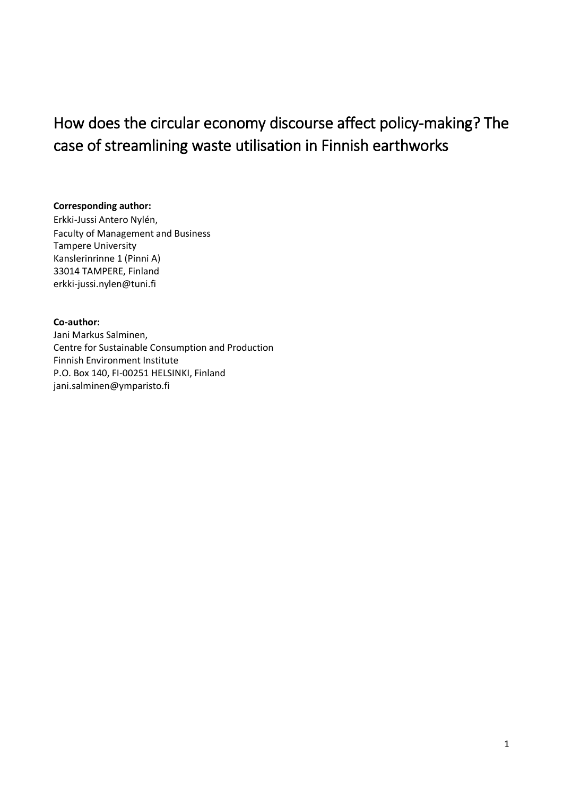# How does the circular economy discourse affect policy-making? The case of streamlining waste utilisation in Finnish earthworks

## **Corresponding author:**

Erkki-Jussi Antero Nylén, Faculty of Management and Business Tampere University Kanslerinrinne 1 (Pinni A) 33014 TAMPERE, Finland erkki-jussi.nylen@tuni.fi

## **Co-author:**

Jani Markus Salminen, Centre for Sustainable Consumption and Production Finnish Environment Institute P.O. Box 140, FI-00251 HELSINKI, Finland jani.salminen@ymparisto.fi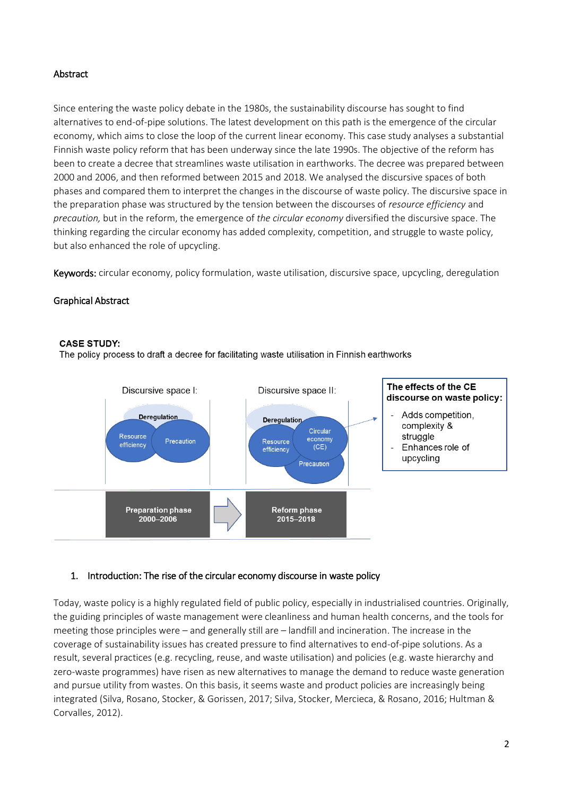## Abstract

Since entering the waste policy debate in the 1980s, the sustainability discourse has sought to find alternatives to end-of-pipe solutions. The latest development on this path is the emergence of the circular economy, which aims to close the loop of the current linear economy. This case study analyses a substantial Finnish waste policy reform that has been underway since the late 1990s. The objective of the reform has been to create a decree that streamlines waste utilisation in earthworks. The decree was prepared between 2000 and 2006, and then reformed between 2015 and 2018. We analysed the discursive spaces of both phases and compared them to interpret the changes in the discourse of waste policy. The discursive space in the preparation phase was structured by the tension between the discourses of *resource efficiency* and *precaution,* but in the reform, the emergence of *the circular economy* diversified the discursive space. The thinking regarding the circular economy has added complexity, competition, and struggle to waste policy, but also enhanced the role of upcycling.

Keywords: circular economy, policy formulation, waste utilisation, discursive space, upcycling, deregulation

#### Graphical Abstract

#### **CASE STUDY:**

The policy process to draft a decree for facilitating waste utilisation in Finnish earthworks



#### 1. Introduction: The rise of the circular economy discourse in waste policy

Today, waste policy is a highly regulated field of public policy, especially in industrialised countries. Originally, the guiding principles of waste management were cleanliness and human health concerns, and the tools for meeting those principles were – and generally still are – landfill and incineration. The increase in the coverage of sustainability issues has created pressure to find alternatives to end-of-pipe solutions. As a result, several practices (e.g. recycling, reuse, and waste utilisation) and policies (e.g. waste hierarchy and zero-waste programmes) have risen as new alternatives to manage the demand to reduce waste generation and pursue utility from wastes. On this basis, it seems waste and product policies are increasingly being integrated (Silva, Rosano, Stocker, & Gorissen, 2017; Silva, Stocker, Mercieca, & Rosano, 2016; Hultman & Corvalles, 2012).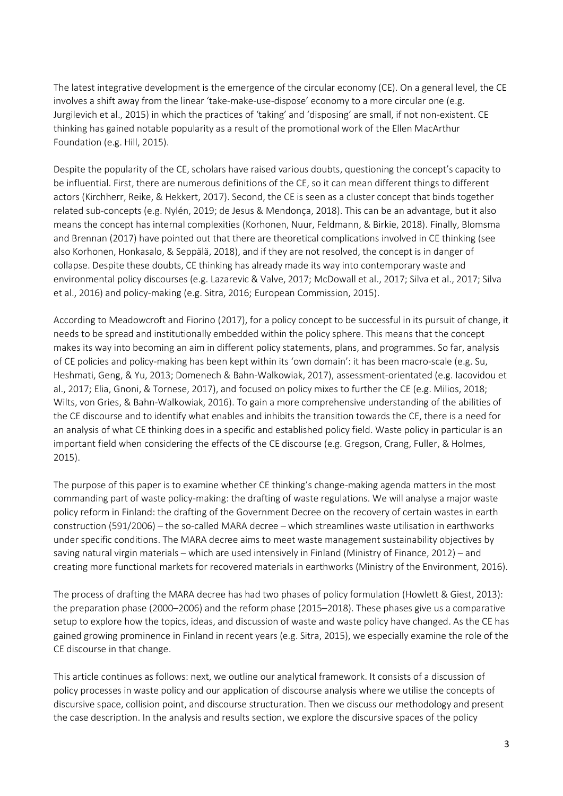The latest integrative development is the emergence of the circular economy (CE). On a general level, the CE involves a shift away from the linear 'take-make-use-dispose' economy to a more circular one (e.g. Jurgilevich et al., 2015) in which the practices of 'taking' and 'disposing' are small, if not non-existent. CE thinking has gained notable popularity as a result of the promotional work of the Ellen MacArthur Foundation (e.g. Hill, 2015).

Despite the popularity of the CE, scholars have raised various doubts, questioning the concept's capacity to be influential. First, there are numerous definitions of the CE, so it can mean different things to different actors (Kirchherr, Reike, & Hekkert, 2017). Second, the CE is seen as a cluster concept that binds together related sub-concepts (e.g. Nylén, 2019; de Jesus & Mendonça, 2018). This can be an advantage, but it also means the concept has internal complexities (Korhonen, Nuur, Feldmann, & Birkie, 2018). Finally, Blomsma and Brennan (2017) have pointed out that there are theoretical complications involved in CE thinking (see also Korhonen, Honkasalo, & Seppälä, 2018), and if they are not resolved, the concept is in danger of collapse. Despite these doubts, CE thinking has already made its way into contemporary waste and environmental policy discourses (e.g. Lazarevic & Valve, 2017; McDowall et al., 2017; Silva et al., 2017; Silva et al., 2016) and policy-making (e.g. Sitra, 2016; European Commission, 2015).

According to Meadowcroft and Fiorino (2017), for a policy concept to be successful in its pursuit of change, it needs to be spread and institutionally embedded within the policy sphere. This means that the concept makes its way into becoming an aim in different policy statements, plans, and programmes. So far, analysis of CE policies and policy-making has been kept within its 'own domain': it has been macro-scale (e.g. Su, Heshmati, Geng, & Yu, 2013; Domenech & Bahn-Walkowiak, 2017), assessment-orientated (e.g. Iacovidou et al., 2017; Elia, Gnoni, & Tornese, 2017), and focused on policy mixes to further the CE (e.g. Milios, 2018; Wilts, von Gries, & Bahn-Walkowiak, 2016). To gain a more comprehensive understanding of the abilities of the CE discourse and to identify what enables and inhibits the transition towards the CE, there is a need for an analysis of what CE thinking does in a specific and established policy field. Waste policy in particular is an important field when considering the effects of the CE discourse (e.g. Gregson, Crang, Fuller, & Holmes, 2015).

The purpose of this paper is to examine whether CE thinking's change-making agenda matters in the most commanding part of waste policy-making: the drafting of waste regulations. We will analyse a major waste policy reform in Finland: the drafting of the Government Decree on the recovery of certain wastes in earth construction (591/2006) – the so-called MARA decree – which streamlines waste utilisation in earthworks under specific conditions. The MARA decree aims to meet waste management sustainability objectives by saving natural virgin materials – which are used intensively in Finland (Ministry of Finance, 2012) – and creating more functional markets for recovered materials in earthworks (Ministry of the Environment, 2016).

The process of drafting the MARA decree has had two phases of policy formulation (Howlett & Giest, 2013): the preparation phase (2000–2006) and the reform phase (2015–2018). These phases give us a comparative setup to explore how the topics, ideas, and discussion of waste and waste policy have changed. As the CE has gained growing prominence in Finland in recent years (e.g. Sitra, 2015), we especially examine the role of the CE discourse in that change.

This article continues as follows: next, we outline our analytical framework. It consists of a discussion of policy processes in waste policy and our application of discourse analysis where we utilise the concepts of discursive space, collision point, and discourse structuration. Then we discuss our methodology and present the case description. In the analysis and results section, we explore the discursive spaces of the policy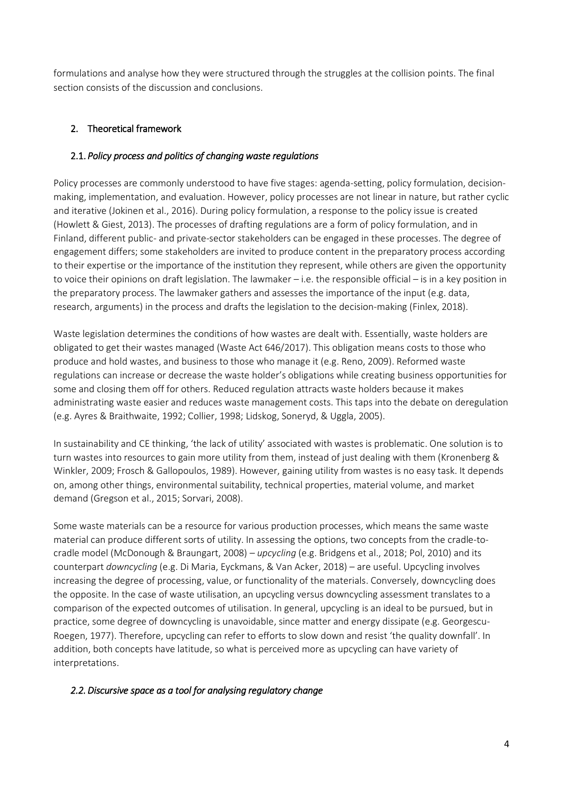formulations and analyse how they were structured through the struggles at the collision points. The final section consists of the discussion and conclusions.

# 2. Theoretical framework

## 2.1. *Policy process and politics of changing waste regulations*

Policy processes are commonly understood to have five stages: agenda-setting, policy formulation, decisionmaking, implementation, and evaluation. However, policy processes are not linear in nature, but rather cyclic and iterative (Jokinen et al., 2016). During policy formulation, a response to the policy issue is created (Howlett & Giest, 2013). The processes of drafting regulations are a form of policy formulation, and in Finland, different public- and private-sector stakeholders can be engaged in these processes. The degree of engagement differs; some stakeholders are invited to produce content in the preparatory process according to their expertise or the importance of the institution they represent, while others are given the opportunity to voice their opinions on draft legislation. The lawmaker – i.e. the responsible official – is in a key position in the preparatory process. The lawmaker gathers and assesses the importance of the input (e.g. data, research, arguments) in the process and drafts the legislation to the decision-making (Finlex, 2018).

Waste legislation determines the conditions of how wastes are dealt with. Essentially, waste holders are obligated to get their wastes managed (Waste Act 646/2017). This obligation means costs to those who produce and hold wastes, and business to those who manage it (e.g. Reno, 2009). Reformed waste regulations can increase or decrease the waste holder's obligations while creating business opportunities for some and closing them off for others. Reduced regulation attracts waste holders because it makes administrating waste easier and reduces waste management costs. This taps into the debate on deregulation (e.g. Ayres & Braithwaite, 1992; Collier, 1998; Lidskog, Soneryd, & Uggla, 2005).

In sustainability and CE thinking, 'the lack of utility' associated with wastes is problematic. One solution is to turn wastes into resources to gain more utility from them, instead of just dealing with them (Kronenberg & Winkler, 2009; Frosch & Gallopoulos, 1989). However, gaining utility from wastes is no easy task. It depends on, among other things, environmental suitability, technical properties, material volume, and market demand (Gregson et al., 2015; Sorvari, 2008).

Some waste materials can be a resource for various production processes, which means the same waste material can produce different sorts of utility. In assessing the options, two concepts from the cradle-tocradle model (McDonough & Braungart, 2008) – *upcycling* (e.g. Bridgens et al., 2018; Pol, 2010) and its counterpart *downcycling* (e.g. Di Maria, Eyckmans, & Van Acker, 2018) – are useful. Upcycling involves increasing the degree of processing, value, or functionality of the materials. Conversely, downcycling does the opposite. In the case of waste utilisation, an upcycling versus downcycling assessment translates to a comparison of the expected outcomes of utilisation. In general, upcycling is an ideal to be pursued, but in practice, some degree of downcycling is unavoidable, since matter and energy dissipate (e.g. Georgescu-Roegen, 1977). Therefore, upcycling can refer to efforts to slow down and resist 'the quality downfall'. In addition, both concepts have latitude, so what is perceived more as upcycling can have variety of interpretations.

# *2.2.Discursive space as a tool for analysing regulatory change*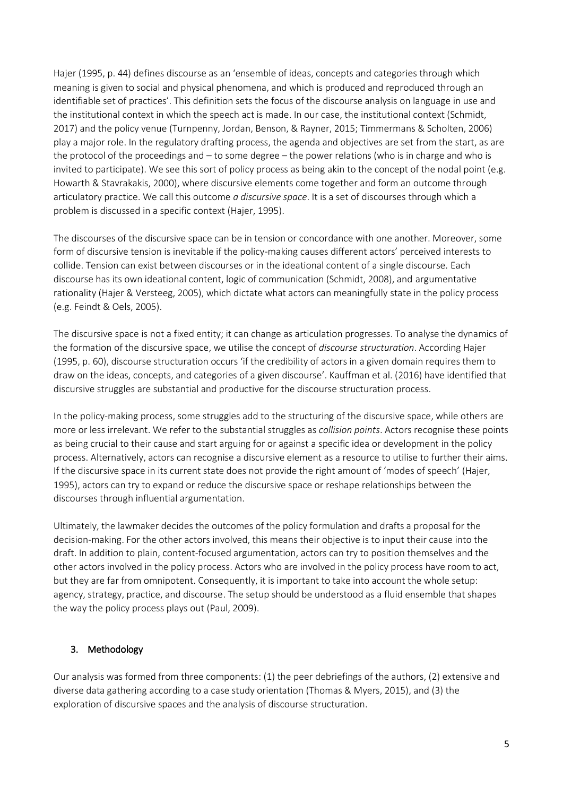Hajer (1995, p. 44) defines discourse as an 'ensemble of ideas, concepts and categories through which meaning is given to social and physical phenomena, and which is produced and reproduced through an identifiable set of practices'. This definition sets the focus of the discourse analysis on language in use and the institutional context in which the speech act is made. In our case, the institutional context (Schmidt, 2017) and the policy venue (Turnpenny, Jordan, Benson, & Rayner, 2015; Timmermans & Scholten, 2006) play a major role. In the regulatory drafting process, the agenda and objectives are set from the start, as are the protocol of the proceedings and – to some degree – the power relations (who is in charge and who is invited to participate). We see this sort of policy process as being akin to the concept of the nodal point (e.g. Howarth & Stavrakakis, 2000), where discursive elements come together and form an outcome through articulatory practice. We call this outcome *a discursive space*. It is a set of discourses through which a problem is discussed in a specific context (Hajer, 1995).

The discourses of the discursive space can be in tension or concordance with one another. Moreover, some form of discursive tension is inevitable if the policy-making causes different actors' perceived interests to collide. Tension can exist between discourses or in the ideational content of a single discourse. Each discourse has its own ideational content, logic of communication (Schmidt, 2008), and argumentative rationality (Hajer & Versteeg, 2005), which dictate what actors can meaningfully state in the policy process (e.g. Feindt & Oels, 2005).

The discursive space is not a fixed entity; it can change as articulation progresses. To analyse the dynamics of the formation of the discursive space, we utilise the concept of *discourse structuration*. According Hajer (1995, p. 60), discourse structuration occurs 'if the credibility of actors in a given domain requires them to draw on the ideas, concepts, and categories of a given discourse'. Kauffman et al. (2016) have identified that discursive struggles are substantial and productive for the discourse structuration process.

In the policy-making process, some struggles add to the structuring of the discursive space, while others are more or less irrelevant. We refer to the substantial struggles as *collision points*. Actors recognise these points as being crucial to their cause and start arguing for or against a specific idea or development in the policy process. Alternatively, actors can recognise a discursive element as a resource to utilise to further their aims. If the discursive space in its current state does not provide the right amount of 'modes of speech' (Hajer, 1995), actors can try to expand or reduce the discursive space or reshape relationships between the discourses through influential argumentation.

Ultimately, the lawmaker decides the outcomes of the policy formulation and drafts a proposal for the decision-making. For the other actors involved, this means their objective is to input their cause into the draft. In addition to plain, content-focused argumentation, actors can try to position themselves and the other actors involved in the policy process. Actors who are involved in the policy process have room to act, but they are far from omnipotent. Consequently, it is important to take into account the whole setup: agency, strategy, practice, and discourse. The setup should be understood as a fluid ensemble that shapes the way the policy process plays out (Paul, 2009).

# 3. Methodology

Our analysis was formed from three components: (1) the peer debriefings of the authors, (2) extensive and diverse data gathering according to a case study orientation (Thomas & Myers, 2015), and (3) the exploration of discursive spaces and the analysis of discourse structuration.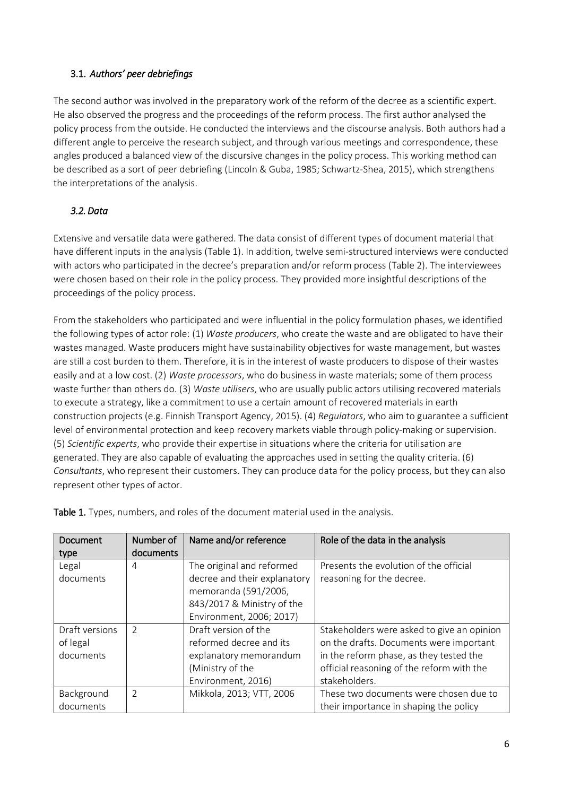# 3.1. *Authors' peer debriefings*

The second author was involved in the preparatory work of the reform of the decree as a scientific expert. He also observed the progress and the proceedings of the reform process. The first author analysed the policy process from the outside. He conducted the interviews and the discourse analysis. Both authors had a different angle to perceive the research subject, and through various meetings and correspondence, these angles produced a balanced view of the discursive changes in the policy process. This working method can be described as a sort of peer debriefing (Lincoln & Guba, 1985; Schwartz-Shea, 2015), which strengthens the interpretations of the analysis.

# *3.2.Data*

Extensive and versatile data were gathered. The data consist of different types of document material that have different inputs in the analysis (Table 1). In addition, twelve semi-structured interviews were conducted with actors who participated in the decree's preparation and/or reform process (Table 2). The interviewees were chosen based on their role in the policy process. They provided more insightful descriptions of the proceedings of the policy process.

From the stakeholders who participated and were influential in the policy formulation phases, we identified the following types of actor role: (1) *Waste producers*, who create the waste and are obligated to have their wastes managed. Waste producers might have sustainability objectives for waste management, but wastes are still a cost burden to them. Therefore, it is in the interest of waste producers to dispose of their wastes easily and at a low cost. (2) *Waste processors*, who do business in waste materials; some of them process waste further than others do. (3) *Waste utilisers*, who are usually public actors utilising recovered materials to execute a strategy, like a commitment to use a certain amount of recovered materials in earth construction projects (e.g. Finnish Transport Agency, 2015). (4) *Regulators*, who aim to guarantee a sufficient level of environmental protection and keep recovery markets viable through policy-making or supervision. (5) *Scientific experts*, who provide their expertise in situations where the criteria for utilisation are generated. They are also capable of evaluating the approaches used in setting the quality criteria. (6) *Consultants*, who represent their customers. They can produce data for the policy process, but they can also represent other types of actor.

| Document       | Number of      | Name and/or reference        | Role of the data in the analysis           |
|----------------|----------------|------------------------------|--------------------------------------------|
| type           | documents      |                              |                                            |
| Legal          | 4              | The original and reformed    | Presents the evolution of the official     |
| documents      |                | decree and their explanatory | reasoning for the decree.                  |
|                |                | memoranda (591/2006,         |                                            |
|                |                | 843/2017 & Ministry of the   |                                            |
|                |                | Environment, 2006; 2017)     |                                            |
| Draft versions | $\mathcal{P}$  | Draft version of the         | Stakeholders were asked to give an opinion |
| of legal       |                | reformed decree and its      | on the drafts. Documents were important    |
| documents      |                | explanatory memorandum       | in the reform phase, as they tested the    |
|                |                | (Ministry of the             | official reasoning of the reform with the  |
|                |                | Environment, 2016)           | stakeholders.                              |
| Background     | $\overline{2}$ | Mikkola, 2013; VTT, 2006     | These two documents were chosen due to     |
| documents      |                |                              | their importance in shaping the policy     |

Table 1. Types, numbers, and roles of the document material used in the analysis.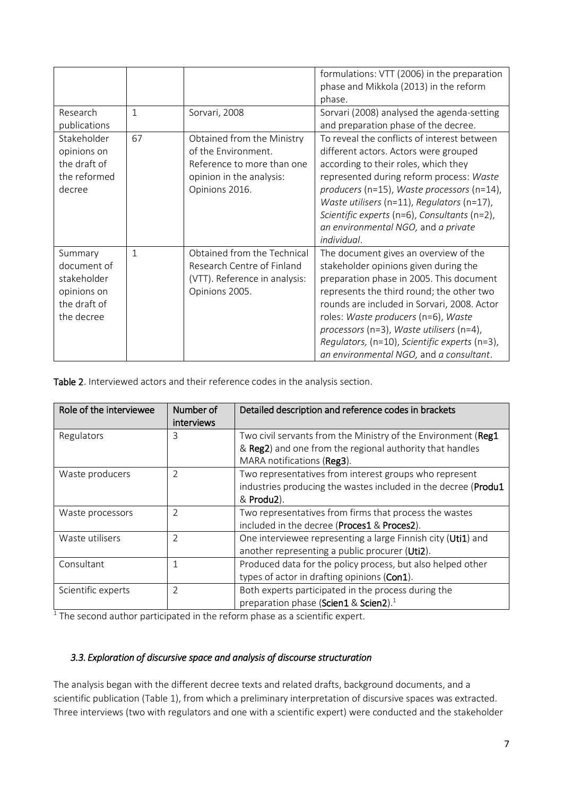|                                                                                    |              |                                                                                                                               | formulations: VTT (2006) in the preparation<br>phase and Mikkola (2013) in the reform<br>phase.                                                                                                                                                                                                                                                                                                       |
|------------------------------------------------------------------------------------|--------------|-------------------------------------------------------------------------------------------------------------------------------|-------------------------------------------------------------------------------------------------------------------------------------------------------------------------------------------------------------------------------------------------------------------------------------------------------------------------------------------------------------------------------------------------------|
| Research<br>publications                                                           | $\mathbf{1}$ | Sorvari, 2008                                                                                                                 | Sorvari (2008) analysed the agenda-setting<br>and preparation phase of the decree.                                                                                                                                                                                                                                                                                                                    |
| Stakeholder<br>opinions on<br>the draft of<br>the reformed<br>decree               | 67           | Obtained from the Ministry<br>of the Environment.<br>Reference to more than one<br>opinion in the analysis:<br>Opinions 2016. | To reveal the conflicts of interest between<br>different actors. Actors were grouped<br>according to their roles, which they<br>represented during reform process: Waste<br>producers (n=15), Waste processors (n=14),<br>Waste utilisers ( $n=11$ ), Regulators ( $n=17$ ),<br>Scientific experts (n=6), Consultants (n=2),<br>an environmental NGO, and a private<br>individual.                    |
| Summary<br>document of<br>stakeholder<br>opinions on<br>the draft of<br>the decree | $\mathbf{1}$ | Obtained from the Technical<br>Research Centre of Finland<br>(VTT). Reference in analysis:<br>Opinions 2005.                  | The document gives an overview of the<br>stakeholder opinions given during the<br>preparation phase in 2005. This document<br>represents the third round; the other two<br>rounds are included in Sorvari, 2008. Actor<br>roles: Waste producers (n=6), Waste<br>processors (n=3), Waste utilisers (n=4),<br>Regulators, (n=10), Scientific experts (n=3),<br>an environmental NGO, and a consultant. |

Table 2. Interviewed actors and their reference codes in the analysis section.

| Role of the interviewee | Number of<br>interviews | Detailed description and reference codes in brackets                                                                                                    |
|-------------------------|-------------------------|---------------------------------------------------------------------------------------------------------------------------------------------------------|
| Regulators              | 3                       | Two civil servants from the Ministry of the Environment (Reg1<br>& Reg2) and one from the regional authority that handles<br>MARA notifications (Reg3). |
| Waste producers         | $\overline{2}$          | Two representatives from interest groups who represent<br>industries producing the wastes included in the decree (Produ1<br>& Produ2).                  |
| Waste processors        | 2                       | Two representatives from firms that process the wastes<br>included in the decree (Proces1 & Proces2).                                                   |
| Waste utilisers         | $\overline{2}$          | One interviewee representing a large Finnish city (Uti1) and<br>another representing a public procurer (Uti2).                                          |
| Consultant              |                         | Produced data for the policy process, but also helped other<br>types of actor in drafting opinions (Con1).                                              |
| Scientific experts      | 2                       | Both experts participated in the process during the<br>preparation phase (Scien1 & Scien2). <sup>1</sup>                                                |

 $<sup>1</sup>$  The second author participated in the reform phase as a scientific expert.</sup>

## *3.3. Exploration of discursive space and analysis of discourse structuration*

The analysis began with the different decree texts and related drafts, background documents, and a scientific publication (Table 1), from which a preliminary interpretation of discursive spaces was extracted. Three interviews (two with regulators and one with a scientific expert) were conducted and the stakeholder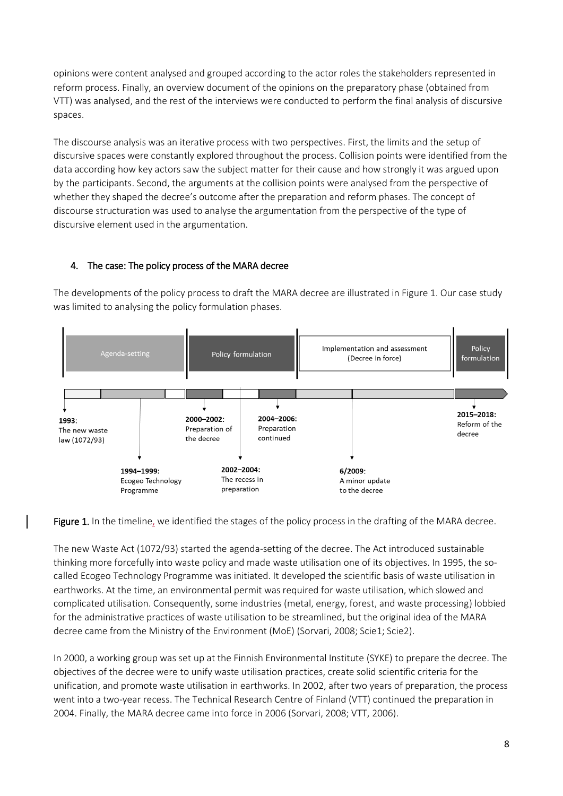opinions were content analysed and grouped according to the actor roles the stakeholders represented in reform process. Finally, an overview document of the opinions on the preparatory phase (obtained from VTT) was analysed, and the rest of the interviews were conducted to perform the final analysis of discursive spaces.

The discourse analysis was an iterative process with two perspectives. First, the limits and the setup of discursive spaces were constantly explored throughout the process. Collision points were identified from the data according how key actors saw the subject matter for their cause and how strongly it was argued upon by the participants. Second, the arguments at the collision points were analysed from the perspective of whether they shaped the decree's outcome after the preparation and reform phases. The concept of discourse structuration was used to analyse the argumentation from the perspective of the type of discursive element used in the argumentation.

## 4. The case: The policy process of the MARA decree

The developments of the policy process to draft the MARA decree are illustrated in Figure 1. Our case study was limited to analysing the policy formulation phases.



Figure 1. In the timeline, we identified the stages of the policy process in the drafting of the MARA decree.

The new Waste Act (1072/93) started the agenda-setting of the decree. The Act introduced sustainable thinking more forcefully into waste policy and made waste utilisation one of its objectives. In 1995, the socalled Ecogeo Technology Programme was initiated. It developed the scientific basis of waste utilisation in earthworks. At the time, an environmental permit was required for waste utilisation, which slowed and complicated utilisation. Consequently, some industries (metal, energy, forest, and waste processing) lobbied for the administrative practices of waste utilisation to be streamlined, but the original idea of the MARA decree came from the Ministry of the Environment (MoE) (Sorvari, 2008; Scie1; Scie2).

In 2000, a working group was set up at the Finnish Environmental Institute (SYKE) to prepare the decree. The objectives of the decree were to unify waste utilisation practices, create solid scientific criteria for the unification, and promote waste utilisation in earthworks. In 2002, after two years of preparation, the process went into a two-year recess. The Technical Research Centre of Finland (VTT) continued the preparation in 2004. Finally, the MARA decree came into force in 2006 (Sorvari, 2008; VTT, 2006).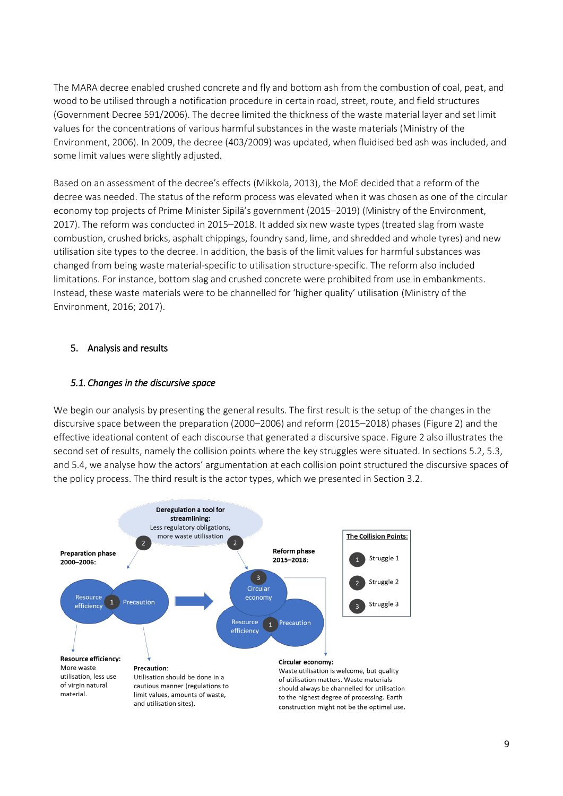The MARA decree enabled crushed concrete and fly and bottom ash from the combustion of coal, peat, and wood to be utilised through a notification procedure in certain road, street, route, and field structures (Government Decree 591/2006). The decree limited the thickness of the waste material layer and set limit values for the concentrations of various harmful substances in the waste materials (Ministry of the Environment, 2006). In 2009, the decree (403/2009) was updated, when fluidised bed ash was included, and some limit values were slightly adjusted.

Based on an assessment of the decree's effects (Mikkola, 2013), the MoE decided that a reform of the decree was needed. The status of the reform process was elevated when it was chosen as one of the circular economy top projects of Prime Minister Sipilä's government (2015–2019) (Ministry of the Environment, 2017). The reform was conducted in 2015–2018. It added six new waste types (treated slag from waste combustion, crushed bricks, asphalt chippings, foundry sand, lime, and shredded and whole tyres) and new utilisation site types to the decree. In addition, the basis of the limit values for harmful substances was changed from being waste material-specific to utilisation structure-specific. The reform also included limitations. For instance, bottom slag and crushed concrete were prohibited from use in embankments. Instead, these waste materials were to be channelled for 'higher quality' utilisation (Ministry of the Environment, 2016; 2017).

## 5. Analysis and results

#### *5.1. Changes in the discursive space*

We begin our analysis by presenting the general results. The first result is the setup of the changes in the discursive space between the preparation (2000–2006) and reform (2015–2018) phases (Figure 2) and the effective ideational content of each discourse that generated a discursive space. Figure 2 also illustrates the second set of results, namely the collision points where the key struggles were situated. In sections 5.2, 5.3, and 5.4, we analyse how the actors' argumentation at each collision point structured the discursive spaces of the policy process. The third result is the actor types, which we presented in Section 3.2.

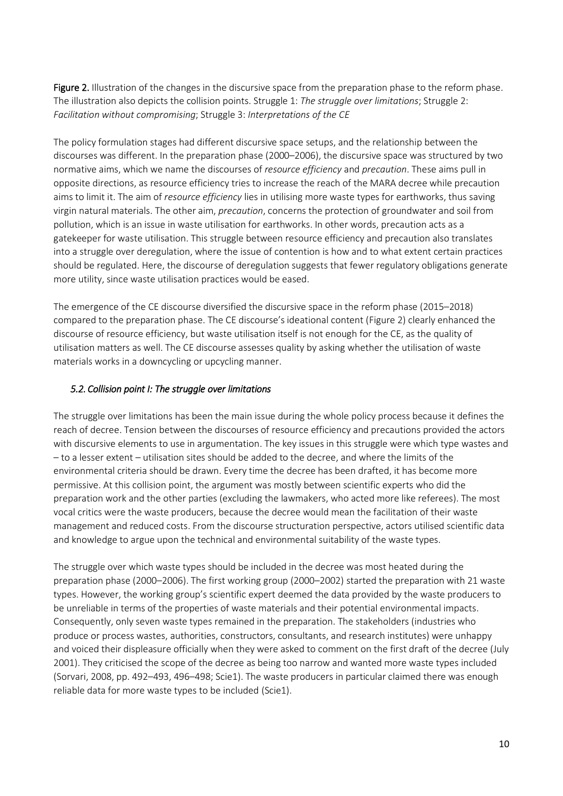Figure 2. Illustration of the changes in the discursive space from the preparation phase to the reform phase. The illustration also depicts the collision points. Struggle 1: *The struggle over limitations*; Struggle 2: *Facilitation without compromising*; Struggle 3: *Interpretations of the CE*

The policy formulation stages had different discursive space setups, and the relationship between the discourses was different. In the preparation phase (2000–2006), the discursive space was structured by two normative aims, which we name the discourses of *resource efficiency* and *precaution*. These aims pull in opposite directions, as resource efficiency tries to increase the reach of the MARA decree while precaution aims to limit it. The aim of *resource efficiency* lies in utilising more waste types for earthworks, thus saving virgin natural materials. The other aim, *precaution*, concerns the protection of groundwater and soil from pollution, which is an issue in waste utilisation for earthworks. In other words, precaution acts as a gatekeeper for waste utilisation. This struggle between resource efficiency and precaution also translates into a struggle over deregulation, where the issue of contention is how and to what extent certain practices should be regulated. Here, the discourse of deregulation suggests that fewer regulatory obligations generate more utility, since waste utilisation practices would be eased.

The emergence of the CE discourse diversified the discursive space in the reform phase (2015–2018) compared to the preparation phase. The CE discourse's ideational content (Figure 2) clearly enhanced the discourse of resource efficiency, but waste utilisation itself is not enough for the CE, as the quality of utilisation matters as well. The CE discourse assesses quality by asking whether the utilisation of waste materials works in a downcycling or upcycling manner.

## *5.2. Collision point I: The struggle over limitations*

The struggle over limitations has been the main issue during the whole policy process because it defines the reach of decree. Tension between the discourses of resource efficiency and precautions provided the actors with discursive elements to use in argumentation. The key issues in this struggle were which type wastes and – to a lesser extent – utilisation sites should be added to the decree, and where the limits of the environmental criteria should be drawn. Every time the decree has been drafted, it has become more permissive. At this collision point, the argument was mostly between scientific experts who did the preparation work and the other parties (excluding the lawmakers, who acted more like referees). The most vocal critics were the waste producers, because the decree would mean the facilitation of their waste management and reduced costs. From the discourse structuration perspective, actors utilised scientific data and knowledge to argue upon the technical and environmental suitability of the waste types.

The struggle over which waste types should be included in the decree was most heated during the preparation phase (2000–2006). The first working group (2000–2002) started the preparation with 21 waste types. However, the working group's scientific expert deemed the data provided by the waste producers to be unreliable in terms of the properties of waste materials and their potential environmental impacts. Consequently, only seven waste types remained in the preparation. The stakeholders (industries who produce or process wastes, authorities, constructors, consultants, and research institutes) were unhappy and voiced their displeasure officially when they were asked to comment on the first draft of the decree (July 2001). They criticised the scope of the decree as being too narrow and wanted more waste types included (Sorvari, 2008, pp. 492–493, 496–498; Scie1). The waste producers in particular claimed there was enough reliable data for more waste types to be included (Scie1).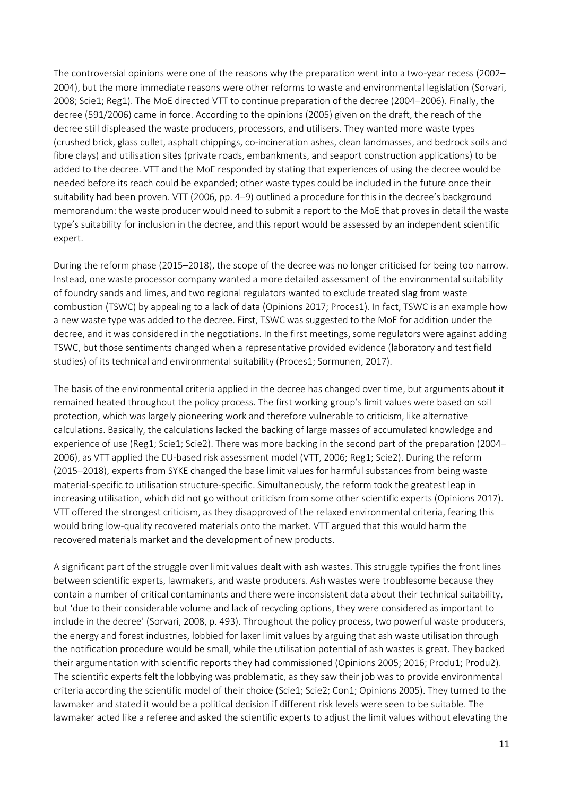The controversial opinions were one of the reasons why the preparation went into a two-year recess (2002– 2004), but the more immediate reasons were other reforms to waste and environmental legislation (Sorvari, 2008; Scie1; Reg1). The MoE directed VTT to continue preparation of the decree (2004–2006). Finally, the decree (591/2006) came in force. According to the opinions (2005) given on the draft, the reach of the decree still displeased the waste producers, processors, and utilisers. They wanted more waste types (crushed brick, glass cullet, asphalt chippings, co-incineration ashes, clean landmasses, and bedrock soils and fibre clays) and utilisation sites (private roads, embankments, and seaport construction applications) to be added to the decree. VTT and the MoE responded by stating that experiences of using the decree would be needed before its reach could be expanded; other waste types could be included in the future once their suitability had been proven. VTT (2006, pp. 4–9) outlined a procedure for this in the decree's background memorandum: the waste producer would need to submit a report to the MoE that proves in detail the waste type's suitability for inclusion in the decree, and this report would be assessed by an independent scientific expert.

During the reform phase (2015–2018), the scope of the decree was no longer criticised for being too narrow. Instead, one waste processor company wanted a more detailed assessment of the environmental suitability of foundry sands and limes, and two regional regulators wanted to exclude treated slag from waste combustion (TSWC) by appealing to a lack of data (Opinions 2017; Proces1). In fact, TSWC is an example how a new waste type was added to the decree. First, TSWC was suggested to the MoE for addition under the decree, and it was considered in the negotiations. In the first meetings, some regulators were against adding TSWC, but those sentiments changed when a representative provided evidence (laboratory and test field studies) of its technical and environmental suitability (Proces1; Sormunen, 2017).

The basis of the environmental criteria applied in the decree has changed over time, but arguments about it remained heated throughout the policy process. The first working group's limit values were based on soil protection, which was largely pioneering work and therefore vulnerable to criticism, like alternative calculations. Basically, the calculations lacked the backing of large masses of accumulated knowledge and experience of use (Reg1; Scie1; Scie2). There was more backing in the second part of the preparation (2004– 2006), as VTT applied the EU-based risk assessment model (VTT, 2006; Reg1; Scie2). During the reform (2015–2018), experts from SYKE changed the base limit values for harmful substances from being waste material-specific to utilisation structure-specific. Simultaneously, the reform took the greatest leap in increasing utilisation, which did not go without criticism from some other scientific experts (Opinions 2017). VTT offered the strongest criticism, as they disapproved of the relaxed environmental criteria, fearing this would bring low-quality recovered materials onto the market. VTT argued that this would harm the recovered materials market and the development of new products.

A significant part of the struggle over limit values dealt with ash wastes. This struggle typifies the front lines between scientific experts, lawmakers, and waste producers. Ash wastes were troublesome because they contain a number of critical contaminants and there were inconsistent data about their technical suitability, but 'due to their considerable volume and lack of recycling options, they were considered as important to include in the decree' (Sorvari, 2008, p. 493). Throughout the policy process, two powerful waste producers, the energy and forest industries, lobbied for laxer limit values by arguing that ash waste utilisation through the notification procedure would be small, while the utilisation potential of ash wastes is great. They backed their argumentation with scientific reports they had commissioned (Opinions 2005; 2016; Produ1; Produ2). The scientific experts felt the lobbying was problematic, as they saw their job was to provide environmental criteria according the scientific model of their choice (Scie1; Scie2; Con1; Opinions 2005). They turned to the lawmaker and stated it would be a political decision if different risk levels were seen to be suitable. The lawmaker acted like a referee and asked the scientific experts to adjust the limit values without elevating the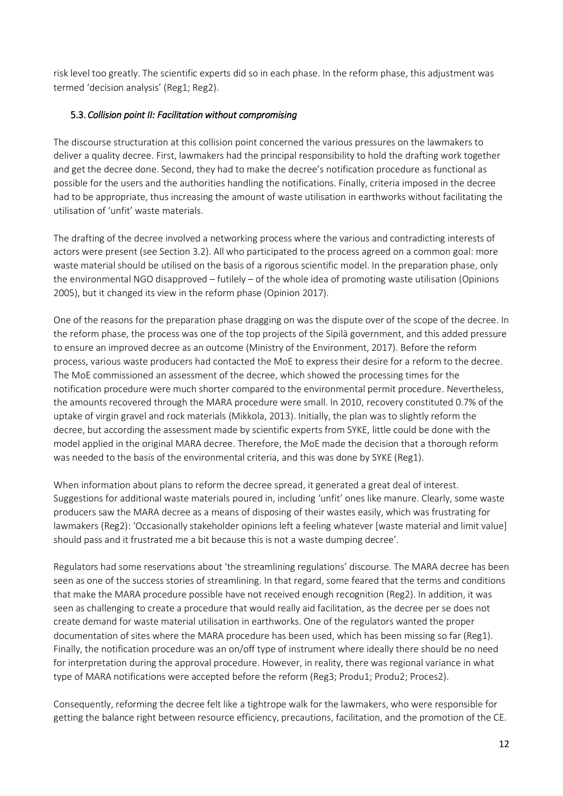risk level too greatly. The scientific experts did so in each phase. In the reform phase, this adjustment was termed 'decision analysis' (Reg1; Reg2).

## 5.3. *Collision point II: Facilitation without compromising*

The discourse structuration at this collision point concerned the various pressures on the lawmakers to deliver a quality decree. First, lawmakers had the principal responsibility to hold the drafting work together and get the decree done. Second, they had to make the decree's notification procedure as functional as possible for the users and the authorities handling the notifications. Finally, criteria imposed in the decree had to be appropriate, thus increasing the amount of waste utilisation in earthworks without facilitating the utilisation of 'unfit' waste materials.

The drafting of the decree involved a networking process where the various and contradicting interests of actors were present (see Section 3.2). All who participated to the process agreed on a common goal: more waste material should be utilised on the basis of a rigorous scientific model. In the preparation phase, only the environmental NGO disapproved – futilely – of the whole idea of promoting waste utilisation (Opinions 2005), but it changed its view in the reform phase (Opinion 2017).

One of the reasons for the preparation phase dragging on was the dispute over of the scope of the decree. In the reform phase, the process was one of the top projects of the Sipilä government, and this added pressure to ensure an improved decree as an outcome (Ministry of the Environment, 2017). Before the reform process, various waste producers had contacted the MoE to express their desire for a reform to the decree. The MoE commissioned an assessment of the decree, which showed the processing times for the notification procedure were much shorter compared to the environmental permit procedure. Nevertheless, the amounts recovered through the MARA procedure were small. In 2010, recovery constituted 0.7% of the uptake of virgin gravel and rock materials (Mikkola, 2013). Initially, the plan was to slightly reform the decree, but according the assessment made by scientific experts from SYKE, little could be done with the model applied in the original MARA decree. Therefore, the MoE made the decision that a thorough reform was needed to the basis of the environmental criteria, and this was done by SYKE (Reg1).

When information about plans to reform the decree spread, it generated a great deal of interest. Suggestions for additional waste materials poured in, including 'unfit' ones like manure. Clearly, some waste producers saw the MARA decree as a means of disposing of their wastes easily, which was frustrating for lawmakers (Reg2): 'Occasionally stakeholder opinions left a feeling whatever [waste material and limit value] should pass and it frustrated me a bit because this is not a waste dumping decree'.

Regulators had some reservations about 'the streamlining regulations' discourse. The MARA decree has been seen as one of the success stories of streamlining. In that regard, some feared that the terms and conditions that make the MARA procedure possible have not received enough recognition (Reg2). In addition, it was seen as challenging to create a procedure that would really aid facilitation, as the decree per se does not create demand for waste material utilisation in earthworks. One of the regulators wanted the proper documentation of sites where the MARA procedure has been used, which has been missing so far (Reg1). Finally, the notification procedure was an on/off type of instrument where ideally there should be no need for interpretation during the approval procedure. However, in reality, there was regional variance in what type of MARA notifications were accepted before the reform (Reg3; Produ1; Produ2; Proces2).

Consequently, reforming the decree felt like a tightrope walk for the lawmakers, who were responsible for getting the balance right between resource efficiency, precautions, facilitation, and the promotion of the CE.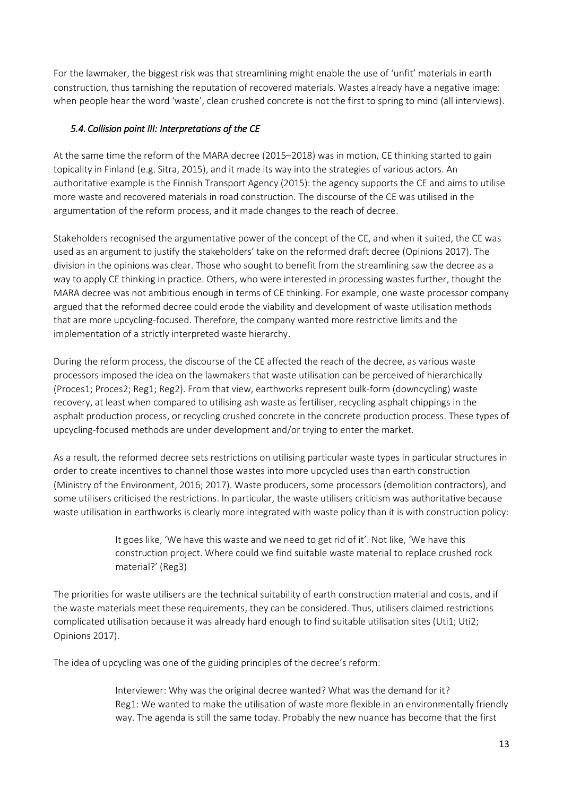For the lawmaker, the biggest risk was that streamlining might enable the use of 'unfit' materials in earth construction, thus tarnishing the reputation of recovered materials. Wastes already have a negative image: when people hear the word 'waste', clean crushed concrete is not the first to spring to mind (all interviews).

# *5.4. Collision point III: Interpretations of the CE*

At the same time the reform of the MARA decree (2015–2018) was in motion, CE thinking started to gain topicality in Finland (e.g. Sitra, 2015), and it made its way into the strategies of various actors. An authoritative example is the Finnish Transport Agency (2015): the agency supports the CE and aims to utilise more waste and recovered materials in road construction. The discourse of the CE was utilised in the argumentation of the reform process, and it made changes to the reach of decree.

Stakeholders recognised the argumentative power of the concept of the CE, and when it suited, the CE was used as an argument to justify the stakeholders' take on the reformed draft decree (Opinions 2017). The division in the opinions was clear. Those who sought to benefit from the streamlining saw the decree as a way to apply CE thinking in practice. Others, who were interested in processing wastes further, thought the MARA decree was not ambitious enough in terms of CE thinking. For example, one waste processor company argued that the reformed decree could erode the viability and development of waste utilisation methods that are more upcycling-focused. Therefore, the company wanted more restrictive limits and the implementation of a strictly interpreted waste hierarchy.

During the reform process, the discourse of the CE affected the reach of the decree, as various waste processors imposed the idea on the lawmakers that waste utilisation can be perceived of hierarchically (Proces1; Proces2; Reg1; Reg2). From that view, earthworks represent bulk-form (downcycling) waste recovery, at least when compared to utilising ash waste as fertiliser, recycling asphalt chippings in the asphalt production process, or recycling crushed concrete in the concrete production process. These types of upcycling-focused methods are under development and/or trying to enter the market.

As a result, the reformed decree sets restrictions on utilising particular waste types in particular structures in order to create incentives to channel those wastes into more upcycled uses than earth construction (Ministry of the Environment, 2016; 2017). Waste producers, some processors (demolition contractors), and some utilisers criticised the restrictions. In particular, the waste utilisers criticism was authoritative because waste utilisation in earthworks is clearly more integrated with waste policy than it is with construction policy:

> It goes like, 'We have this waste and we need to get rid of it'. Not like, 'We have this construction project. Where could we find suitable waste material to replace crushed rock material?' (Reg3)

The priorities for waste utilisers are the technical suitability of earth construction material and costs, and if the waste materials meet these requirements, they can be considered. Thus, utilisers claimed restrictions complicated utilisation because it was already hard enough to find suitable utilisation sites (Uti1; Uti2; Opinions 2017).

The idea of upcycling was one of the guiding principles of the decree's reform:

Interviewer: Why was the original decree wanted? What was the demand for it? Reg1: We wanted to make the utilisation of waste more flexible in an environmentally friendly way. The agenda is still the same today. Probably the new nuance has become that the first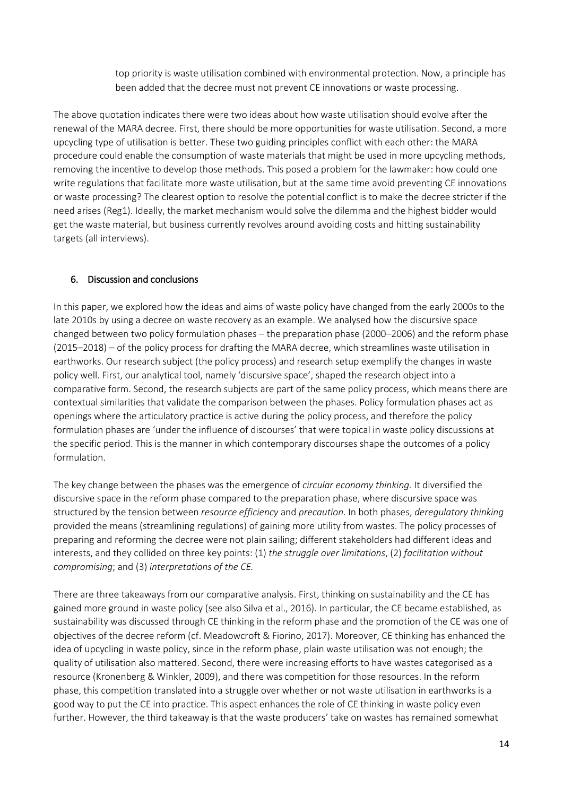top priority is waste utilisation combined with environmental protection. Now, a principle has been added that the decree must not prevent CE innovations or waste processing.

The above quotation indicates there were two ideas about how waste utilisation should evolve after the renewal of the MARA decree. First, there should be more opportunities for waste utilisation. Second, a more upcycling type of utilisation is better. These two guiding principles conflict with each other: the MARA procedure could enable the consumption of waste materials that might be used in more upcycling methods, removing the incentive to develop those methods. This posed a problem for the lawmaker: how could one write regulations that facilitate more waste utilisation, but at the same time avoid preventing CE innovations or waste processing? The clearest option to resolve the potential conflict is to make the decree stricter if the need arises (Reg1). Ideally, the market mechanism would solve the dilemma and the highest bidder would get the waste material, but business currently revolves around avoiding costs and hitting sustainability targets (all interviews).

## 6. Discussion and conclusions

In this paper, we explored how the ideas and aims of waste policy have changed from the early 2000s to the late 2010s by using a decree on waste recovery as an example. We analysed how the discursive space changed between two policy formulation phases – the preparation phase (2000–2006) and the reform phase (2015–2018) – of the policy process for drafting the MARA decree, which streamlines waste utilisation in earthworks. Our research subject (the policy process) and research setup exemplify the changes in waste policy well. First, our analytical tool, namely 'discursive space', shaped the research object into a comparative form. Second, the research subjects are part of the same policy process, which means there are contextual similarities that validate the comparison between the phases. Policy formulation phases act as openings where the articulatory practice is active during the policy process, and therefore the policy formulation phases are 'under the influence of discourses' that were topical in waste policy discussions at the specific period. This is the manner in which contemporary discourses shape the outcomes of a policy formulation.

The key change between the phases was the emergence of *circular economy thinking.* It diversified the discursive space in the reform phase compared to the preparation phase, where discursive space was structured by the tension between *resource efficiency* and *precaution*. In both phases, *deregulatory thinking* provided the means (streamlining regulations) of gaining more utility from wastes. The policy processes of preparing and reforming the decree were not plain sailing; different stakeholders had different ideas and interests, and they collided on three key points: (1) *the struggle over limitations*, (2) *facilitation without compromising*; and (3) *interpretations of the CE.*

There are three takeaways from our comparative analysis. First, thinking on sustainability and the CE has gained more ground in waste policy (see also Silva et al., 2016). In particular, the CE became established, as sustainability was discussed through CE thinking in the reform phase and the promotion of the CE was one of objectives of the decree reform (cf. Meadowcroft & Fiorino, 2017). Moreover, CE thinking has enhanced the idea of upcycling in waste policy, since in the reform phase, plain waste utilisation was not enough; the quality of utilisation also mattered. Second, there were increasing efforts to have wastes categorised as a resource (Kronenberg & Winkler, 2009), and there was competition for those resources. In the reform phase, this competition translated into a struggle over whether or not waste utilisation in earthworks is a good way to put the CE into practice. This aspect enhances the role of CE thinking in waste policy even further. However, the third takeaway is that the waste producers' take on wastes has remained somewhat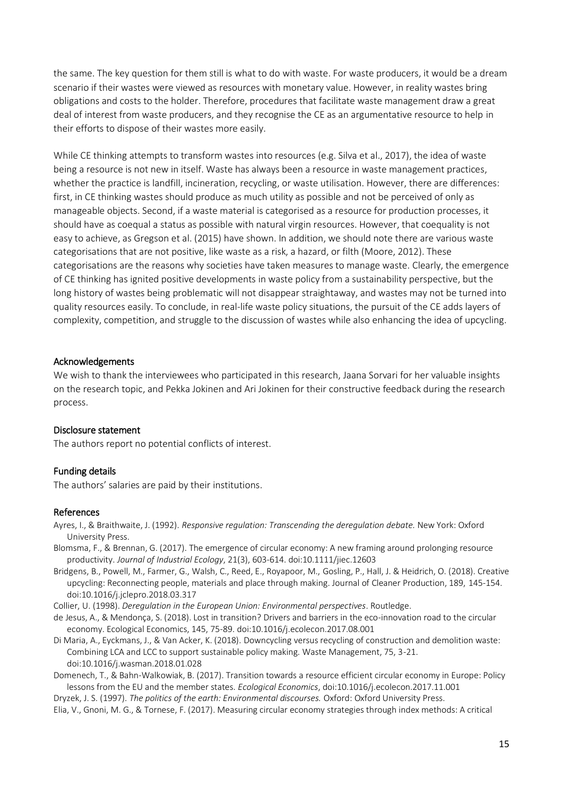the same. The key question for them still is what to do with waste. For waste producers, it would be a dream scenario if their wastes were viewed as resources with monetary value. However, in reality wastes bring obligations and costs to the holder. Therefore, procedures that facilitate waste management draw a great deal of interest from waste producers, and they recognise the CE as an argumentative resource to help in their efforts to dispose of their wastes more easily.

While CE thinking attempts to transform wastes into resources (e.g. Silva et al., 2017), the idea of waste being a resource is not new in itself. Waste has always been a resource in waste management practices, whether the practice is landfill, incineration, recycling, or waste utilisation. However, there are differences: first, in CE thinking wastes should produce as much utility as possible and not be perceived of only as manageable objects. Second, if a waste material is categorised as a resource for production processes, it should have as coequal a status as possible with natural virgin resources. However, that coequality is not easy to achieve, as Gregson et al. (2015) have shown. In addition, we should note there are various waste categorisations that are not positive, like waste as a risk, a hazard, or filth (Moore, 2012). These categorisations are the reasons why societies have taken measures to manage waste. Clearly, the emergence of CE thinking has ignited positive developments in waste policy from a sustainability perspective, but the long history of wastes being problematic will not disappear straightaway, and wastes may not be turned into quality resources easily. To conclude, in real-life waste policy situations, the pursuit of the CE adds layers of complexity, competition, and struggle to the discussion of wastes while also enhancing the idea of upcycling.

#### Acknowledgements

We wish to thank the interviewees who participated in this research, Jaana Sorvari for her valuable insights on the research topic, and Pekka Jokinen and Ari Jokinen for their constructive feedback during the research process.

#### Disclosure statement

The authors report no potential conflicts of interest.

#### Funding details

The authors' salaries are paid by their institutions.

#### References

Ayres, I., & Braithwaite, J. (1992). *Responsive regulation: Transcending the deregulation debate.* New York: Oxford University Press.

Blomsma, F., & Brennan, G. (2017). The emergence of circular economy: A new framing around prolonging resource productivity. *Journal of Industrial Ecology*, 21(3), 603-614. doi:10.1111/jiec.12603

Bridgens, B., Powell, M., Farmer, G., Walsh, C., Reed, E., Royapoor, M., Gosling, P., Hall, J. & Heidrich, O. (2018). Creative upcycling: Reconnecting people, materials and place through making. Journal of Cleaner Production, 189, 145-154. doi:10.1016/j.jclepro.2018.03.317

Collier, U. (1998). *Deregulation in the European Union: Environmental perspectives*. Routledge.

- de Jesus, A., & Mendonça, S. (2018). Lost in transition? Drivers and barriers in the eco-innovation road to the circular economy. Ecological Economics, 145, 75-89. doi:10.1016/j.ecolecon.2017.08.001
- Di Maria, A., Eyckmans, J., & Van Acker, K. (2018). Downcycling versus recycling of construction and demolition waste: Combining LCA and LCC to support sustainable policy making. Waste Management, 75, 3-21. doi:10.1016/j.wasman.2018.01.028

Domenech, T., & Bahn-Walkowiak, B. (2017). Transition towards a resource efficient circular economy in Europe: Policy lessons from the EU and the member states. *Ecological Economics*, doi:10.1016/j.ecolecon.2017.11.001

Dryzek, J. S. (1997). *The politics of the earth: Environmental discourses.* Oxford: Oxford University Press.

Elia, V., Gnoni, M. G., & Tornese, F. (2017). Measuring circular economy strategies through index methods: A critical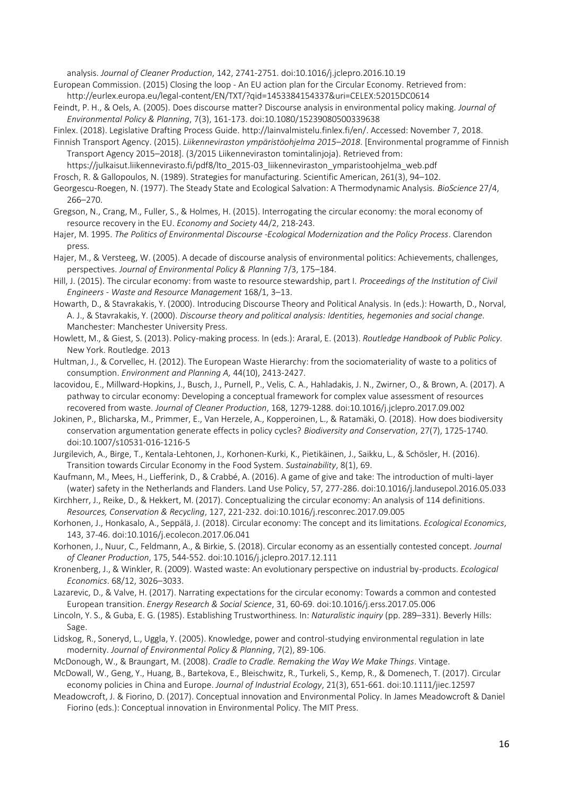analysis. *Journal of Cleaner Production*, 142, 2741-2751. doi:10.1016/j.jclepro.2016.10.19

European Commission. (2015) Closing the loop - An EU action plan for the Circular Economy. Retrieved from: http://eurlex.europa.eu/legal-content/EN/TXT/?qid=1453384154337&uri=CELEX:52015DC0614

Feindt, P. H., & Oels, A. (2005). Does discourse matter? Discourse analysis in environmental policy making*. Journal of Environmental Policy & Planning*, 7(3), 161-173. doi:10.1080/15239080500339638

Finlex. (2018). Legislative Drafting Process Guide. http://lainvalmistelu.finlex.fi/en/. Accessed: November 7, 2018.

Finnish Transport Agency. (2015). *Liikenneviraston ympäristöohjelma 2015–2018*. [Environmental programme of Finnish Transport Agency 2015–2018]. (3/2015 Liikenneviraston tomintalinjoja). Retrieved from:

https://julkaisut.liikennevirasto.fi/pdf8/lto\_2015-03\_liikenneviraston\_ymparistoohjelma\_web.pdf

Frosch, R. & Gallopoulos, N. (1989). Strategies for manufacturing. Scientific American, 261(3), 94–102.

Georgescu-Roegen, N. (1977). The Steady State and Ecological Salvation: A Thermodynamic Analysis. *BioScience* 27/4, 266–270.

- Gregson, N., Crang, M., Fuller, S., & Holmes, H. (2015). Interrogating the circular economy: the moral economy of resource recovery in the EU. *Economy and Society* 44/2, 218-243.
- Hajer, M. 1995. *The Politics of Environmental Discourse -Ecological Modernization and the Policy Process*. Clarendon press.
- Hajer, M., & Versteeg, W. (2005). A decade of discourse analysis of environmental politics: Achievements, challenges, perspectives. *Journal of Environmental Policy & Planning* 7/3, 175–184.

Hill, J. (2015). The circular economy: from waste to resource stewardship, part I. *Proceedings of the Institution of Civil Engineers - Waste and Resource Management* 168/1, 3–13.

Howarth, D., & Stavrakakis, Y. (2000). Introducing Discourse Theory and Political Analysis. In (eds.): Howarth, D., Norval, A. J., & Stavrakakis, Y. (2000). *Discourse theory and political analysis: Identities, hegemonies and social change.*  Manchester: Manchester University Press.

Howlett, M., & Giest, S. (2013). Policy-making process. In (eds.): Araral, E. (2013). *Routledge Handbook of Public Policy.*  New York. Routledge. 2013

Hultman, J., & Corvellec, H. (2012). The European Waste Hierarchy: from the sociomateriality of waste to a politics of consumption. *Environment and Planning A,* 44(10), 2413-2427.

Iacovidou, E., Millward-Hopkins, J., Busch, J., Purnell, P., Velis, C. A., Hahladakis, J. N., Zwirner, O., & Brown, A. (2017). A pathway to circular economy: Developing a conceptual framework for complex value assessment of resources recovered from waste. *Journal of Cleaner Production*, 168, 1279-1288. doi:10.1016/j.jclepro.2017.09.002

Jokinen, P., Blicharska, M., Primmer, E., Van Herzele, A., Kopperoinen, L., & Ratamäki, O. (2018). How does biodiversity conservation argumentation generate effects in policy cycles? *Biodiversity and Conservation*, 27(7), 1725-1740. doi:10.1007/s10531-016-1216-5

Jurgilevich, A., Birge, T., Kentala-Lehtonen, J., Korhonen-Kurki, K., Pietikäinen, J., Saikku, L., & Schösler, H. (2016). Transition towards Circular Economy in the Food System. *Sustainability*, 8(1), 69.

Kaufmann, M., Mees, H., Liefferink, D., & Crabbé, A. (2016). A game of give and take: The introduction of multi-layer (water) safety in the Netherlands and Flanders. Land Use Policy, 57, 277-286. doi:10.1016/j.landusepol.2016.05.033

Kirchherr, J., Reike, D., & Hekkert, M. (2017). Conceptualizing the circular economy: An analysis of 114 definitions. *Resources, Conservation & Recycling*, 127, 221-232. doi:10.1016/j.resconrec.2017.09.005

Korhonen, J., Honkasalo, A., Seppälä, J. (2018). Circular economy: The concept and its limitations. *Ecological Economics*, 143, 37-46. doi:10.1016/j.ecolecon.2017.06.041

Korhonen, J., Nuur, C., Feldmann, A., & Birkie, S. (2018). Circular economy as an essentially contested concept*. Journal of Cleaner Production*, 175, 544-552. doi:10.1016/j.jclepro.2017.12.111

Kronenberg, J., & Winkler, R. (2009). Wasted waste: An evolutionary perspective on industrial by-products. *Ecological Economics*. 68/12, 3026–3033.

Lazarevic, D., & Valve, H. (2017). Narrating expectations for the circular economy: Towards a common and contested European transition. *Energy Research & Social Science*, 31, 60-69. doi:10.1016/j.erss.2017.05.006

Lincoln, Y. S., & Guba, E. G. (1985). Establishing Trustworthiness. In: *Naturalistic inquiry* (pp. 289–331). Beverly Hills: Sage.

Lidskog, R., Soneryd, L., Uggla, Y. (2005). Knowledge, power and control-studying environmental regulation in late modernity. *Journal of Environmental Policy & Planning*, 7(2), 89-106.

McDonough, W., & Braungart, M. (2008). *Cradle to Cradle. Remaking the Way We Make Things*. Vintage.

McDowall, W., Geng, Y., Huang, B., Bartekova, E., Bleischwitz, R., Turkeli, S., Kemp, R., & Domenech, T. (2017). Circular economy policies in China and Europe. *Journal of Industrial Ecology*, 21(3), 651-661. doi:10.1111/jiec.12597

Meadowcroft, J. & Fiorino, D. (2017). Conceptual innovation and Environmental Policy. In James Meadowcroft & Daniel Fiorino (eds.): Conceptual innovation in Environmental Policy. The MIT Press.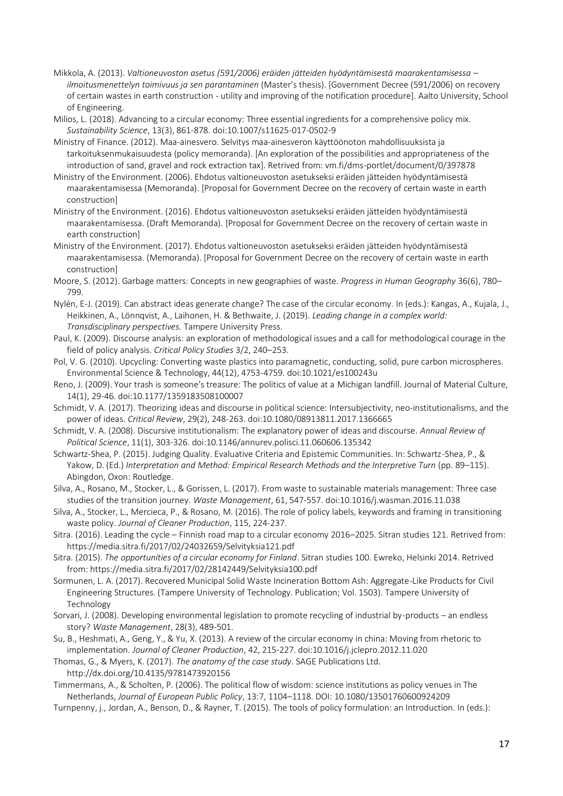- Mikkola, A. (2013). *Valtioneuvoston asetus (591/2006) eräiden jätteiden hyödyntämisestä maarakentamisessa – ilmoitusmenettelyn toimivuus ja sen parantaminen* (Master's thesis). [Government Decree (591/2006) on recovery of certain wastes in earth construction - utility and improving of the notification procedure]. Aalto University, School of Engineering.
- Milios, L. (2018). Advancing to a circular economy: Three essential ingredients for a comprehensive policy mix. *Sustainability Science*, 13(3), 861-878. doi:10.1007/s11625-017-0502-9
- Ministry of Finance. (2012). Maa-ainesvero. Selvitys maa-ainesveron käyttöönoton mahdollisuuksista ja tarkoituksenmukaisuudesta (policy memoranda). [An exploration of the possibilities and appropriateness of the introduction of sand, gravel and rock extraction tax]. Retrived from: vm.fi/dms-portlet/document/0/397878
- Ministry of the Environment. (2006). Ehdotus valtioneuvoston asetukseksi eräiden jätteiden hyödyntämisestä maarakentamisessa (Memoranda). [Proposal for Government Decree on the recovery of certain waste in earth construction]
- Ministry of the Environment. (2016). Ehdotus valtioneuvoston asetukseksi eräiden jätteiden hyödyntämisestä maarakentamisessa. (Draft Memoranda). [Proposal for Government Decree on the recovery of certain waste in earth construction]
- Ministry of the Environment. (2017). Ehdotus valtioneuvoston asetukseksi eräiden jätteiden hyödyntämisestä maarakentamisessa. (Memoranda). [Proposal for Government Decree on the recovery of certain waste in earth construction]
- Moore, S. (2012). Garbage matters: Concepts in new geographies of waste. *Progress in Human Geography* 36(6), 780– 799.
- Nylén, E-J. (2019). Can abstract ideas generate change? The case of the circular economy. In (eds.): Kangas, A., Kujala, J., Heikkinen, A., Lönnqvist, A., Laihonen, H. & Bethwaite, J. (2019). *Leading change in a complex world: Transdisciplinary perspectives.* Tampere University Press.
- Paul, K. (2009). Discourse analysis: an exploration of methodological issues and a call for methodological courage in the field of policy analysis. *Critical Policy Studies* 3/2, 240–253.
- Pol, V. G. (2010). Upcycling: Converting waste plastics into paramagnetic, conducting, solid, pure carbon microspheres. Environmental Science & Technology, 44(12), 4753-4759. doi:10.1021/es100243u
- Reno, J. (2009). Your trash is someone's treasure: The politics of value at a Michigan landfill. Journal of Material Culture, 14(1), 29-46. doi:10.1177/1359183508100007
- Schmidt, V. A. (2017). Theorizing ideas and discourse in political science: Intersubjectivity, neo-institutionalisms, and the power of ideas. *Critical Review*, 29(2), 248-263. doi:10.1080/08913811.2017.1366665
- Schmidt, V. A. (2008). Discursive institutionalism: The explanatory power of ideas and discourse. *Annual Review of Political Science*, 11(1), 303-326. doi:10.1146/annurev.polisci.11.060606.135342
- Schwartz-Shea, P. (2015). Judging Quality. Evaluative Criteria and Epistemic Communities. In: Schwartz-Shea, P., & Yakow, D. (Ed.) *Interpretation and Method: Empirical Research Methods and the Interpretive Turn* (pp. 89–115). Abingdon, Oxon: Routledge.
- Silva, A., Rosano, M., Stocker, L., & Gorissen, L. (2017). From waste to sustainable materials management: Three case studies of the transition journey. *Waste Management*, 61, 547-557. doi:10.1016/j.wasman.2016.11.038
- Silva, A., Stocker, L., Mercieca, P., & Rosano, M. (2016). The role of policy labels, keywords and framing in transitioning waste policy. *Journal of Cleaner Production*, 115, 224-237.
- Sitra. (2016). Leading the cycle Finnish road map to a circular economy 2016–2025. Sitran studies 121. Retrived from: https://media.sitra.fi/2017/02/24032659/Selvityksia121.pdf
- Sitra. (2015). *The opportunities of a circular economy for Finland*. Sitran studies 100. Ewreko, Helsinki 2014. Retrived from: https://media.sitra.fi/2017/02/28142449/Selvityksia100.pdf
- Sormunen, L. A. (2017). Recovered Municipal Solid Waste Incineration Bottom Ash: Aggregate-Like Products for Civil Engineering Structures. (Tampere University of Technology. Publication; Vol. 1503). Tampere University of Technology
- Sorvari, J. (2008). Developing environmental legislation to promote recycling of industrial by-products an endless story? *Waste Management*, 28(3), 489-501.
- Su, B., Heshmati, A., Geng, Y., & Yu, X. (2013). A review of the circular economy in china: Moving from rhetoric to implementation. *Journal of Cleaner Production*, 42, 215-227. doi:10.1016/j.jclepro.2012.11.020
- Thomas, G., & Myers, K. (2017). *The anatomy of the case study*. SAGE Publications Ltd. http://dx.doi.org/10.4135/9781473920156
- Timmermans, A., & Scholten, P. (2006). The political flow of wisdom: science institutions as policy venues in The Netherlands, *Journal of European Public Policy*, 13:7, 1104–1118. DOI: 10.1080/13501760600924209
- Turnpenny, j., Jordan, A., Benson, D., & Rayner, T. (2015). The tools of policy formulation: an Introduction. In (eds.):